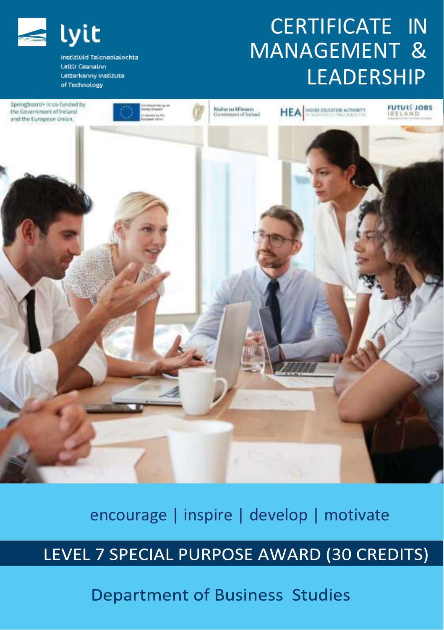

Institiúid Telcneolaíochta Leitir Ceanainn Letterkenny Institute of Technology

# CERTIFICATE IN MANAGEMENT & LEADERSHIP



#### encourage | inspire | develop | motivate

## LEVEL 7 SPECIAL PURPOSE AWARD (30 CREDITS)

**Department of Business Studies**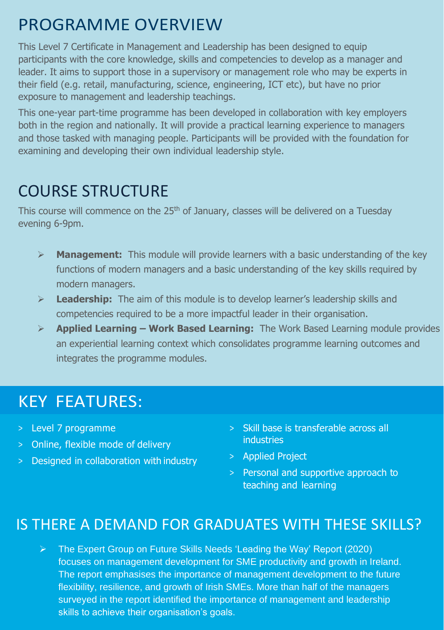## PROGRAMME OVERVIEW

This Level 7 Certificate in Management and Leadership has been designed to equip participants with the core knowledge, skills and competencies to develop as a manager and leader. It aims to support those in a supervisory or management role who may be experts in their field (e.g. retail, manufacturing, science, engineering, ICT etc), but have no prior exposure to management and leadership teachings.

This one-year part-time programme has been developed in collaboration with key employers both in the region and nationally. It will provide a practical learning experience to managers and those tasked with managing people. Participants will be provided with the foundation for examining and developing their own individual leadership style.

# COURSE STRUCTURE

This course will commence on the 25<sup>th</sup> of January, classes will be delivered on a Tuesday evening 6-9pm.

- ➢ **Management:** This module will provide learners with a basic understanding of the key functions of modern managers and a basic understanding of the key skills required by modern managers.
- ➢ **Leadership:** The aim of this module is to develop learner's leadership skills and competencies required to be a more impactful leader in their organisation.
- ➢ **Applied Learning – Work Based Learning:** The Work Based Learning module provides an experiential learning context which consolidates programme learning outcomes and integrates the programme modules.

## KEY FEATURES:

- > Level 7 programme
- > Online, flexible mode of delivery
- > Designed in collaboration with industry
- > Skill base is transferable across all industries
- > Applied Project
- > Personal and supportive approach to teaching and learning

#### IS THERE A DEMAND FOR GRADUATES WITH THESE SKILLS?

➢ The Expert Group on Future Skills Needs 'Leading the Way' Report (2020) focuses on management development for SME productivity and growth in Ireland. The report emphasises the importance of management development to the future flexibility, resilience, and growth of Irish SMEs. More than half of the managers surveyed in the report identified the importance of management and leadership skills to achieve their organisation's goals.